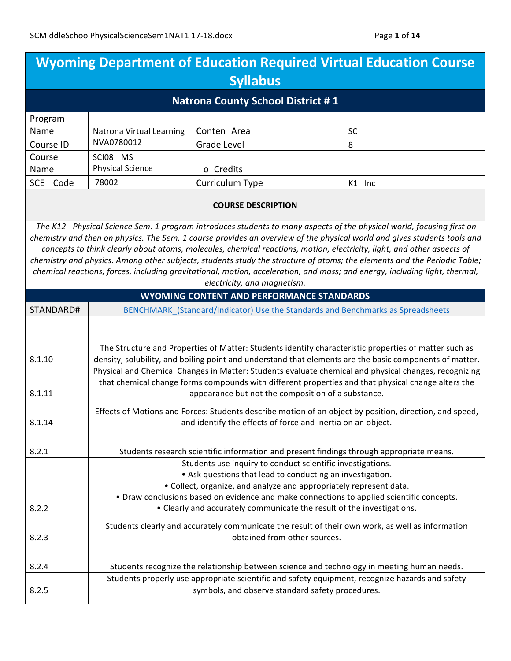| <b>Wyoming Department of Education Required Virtual Education Course</b>                          |                                                                                                                                                                        |                                                                        |                                                                                                                                                                                                                                                                                                                                                                            |  |
|---------------------------------------------------------------------------------------------------|------------------------------------------------------------------------------------------------------------------------------------------------------------------------|------------------------------------------------------------------------|----------------------------------------------------------------------------------------------------------------------------------------------------------------------------------------------------------------------------------------------------------------------------------------------------------------------------------------------------------------------------|--|
| <b>Syllabus</b>                                                                                   |                                                                                                                                                                        |                                                                        |                                                                                                                                                                                                                                                                                                                                                                            |  |
| <b>Natrona County School District #1</b>                                                          |                                                                                                                                                                        |                                                                        |                                                                                                                                                                                                                                                                                                                                                                            |  |
| Program                                                                                           |                                                                                                                                                                        |                                                                        |                                                                                                                                                                                                                                                                                                                                                                            |  |
| Name                                                                                              | Natrona Virtual Learning                                                                                                                                               | Conten Area                                                            | SC                                                                                                                                                                                                                                                                                                                                                                         |  |
| Course ID                                                                                         | NVA0780012                                                                                                                                                             | <b>Grade Level</b>                                                     | 8                                                                                                                                                                                                                                                                                                                                                                          |  |
| Course                                                                                            | SCI08 MS                                                                                                                                                               |                                                                        |                                                                                                                                                                                                                                                                                                                                                                            |  |
| Name                                                                                              | <b>Physical Science</b>                                                                                                                                                | o Credits                                                              |                                                                                                                                                                                                                                                                                                                                                                            |  |
| SCE Code                                                                                          | 78002                                                                                                                                                                  | Curriculum Type                                                        | K1 Inc                                                                                                                                                                                                                                                                                                                                                                     |  |
|                                                                                                   |                                                                                                                                                                        | <b>COURSE DESCRIPTION</b>                                              |                                                                                                                                                                                                                                                                                                                                                                            |  |
|                                                                                                   |                                                                                                                                                                        |                                                                        | The K12 Physical Science Sem. 1 program introduces students to many aspects of the physical world, focusing first on<br>chemistry and then on physics. The Sem. 1 course provides an overview of the physical world and gives students tools and<br>concepts to think clearly about atoms, molecules, chemical reactions, motion, electricity, light, and other aspects of |  |
|                                                                                                   |                                                                                                                                                                        |                                                                        | chemistry and physics. Among other subjects, students study the structure of atoms; the elements and the Periodic Table;                                                                                                                                                                                                                                                   |  |
|                                                                                                   |                                                                                                                                                                        |                                                                        | chemical reactions; forces, including gravitational, motion, acceleration, and mass; and energy, including light, thermal,                                                                                                                                                                                                                                                 |  |
|                                                                                                   |                                                                                                                                                                        | electricity, and magnetism.                                            |                                                                                                                                                                                                                                                                                                                                                                            |  |
|                                                                                                   |                                                                                                                                                                        | <b>WYOMING CONTENT AND PERFORMANCE STANDARDS</b>                       |                                                                                                                                                                                                                                                                                                                                                                            |  |
| STANDARD#                                                                                         |                                                                                                                                                                        |                                                                        | BENCHMARK (Standard/Indicator) Use the Standards and Benchmarks as Spreadsheets                                                                                                                                                                                                                                                                                            |  |
| 8.1.10                                                                                            |                                                                                                                                                                        |                                                                        | The Structure and Properties of Matter: Students identify characteristic properties of matter such as<br>density, solubility, and boiling point and understand that elements are the basic components of matter.<br>Physical and Chemical Changes in Matter: Students evaluate chemical and physical changes, recognizing                                                  |  |
| 8.1.11                                                                                            | that chemical change forms compounds with different properties and that physical change alters the<br>appearance but not the composition of a substance.               |                                                                        |                                                                                                                                                                                                                                                                                                                                                                            |  |
| 8.1.14                                                                                            | Effects of Motions and Forces: Students describe motion of an object by position, direction, and speed,<br>and identify the effects of force and inertia on an object. |                                                                        |                                                                                                                                                                                                                                                                                                                                                                            |  |
| 8.2.1<br>Students research scientific information and present findings through appropriate means. |                                                                                                                                                                        |                                                                        |                                                                                                                                                                                                                                                                                                                                                                            |  |
|                                                                                                   |                                                                                                                                                                        | Students use inquiry to conduct scientific investigations.             |                                                                                                                                                                                                                                                                                                                                                                            |  |
|                                                                                                   |                                                                                                                                                                        | • Ask questions that lead to conducting an investigation.              |                                                                                                                                                                                                                                                                                                                                                                            |  |
|                                                                                                   |                                                                                                                                                                        | • Collect, organize, and analyze and appropriately represent data.     |                                                                                                                                                                                                                                                                                                                                                                            |  |
|                                                                                                   | • Draw conclusions based on evidence and make connections to applied scientific concepts.                                                                              |                                                                        |                                                                                                                                                                                                                                                                                                                                                                            |  |
| 8.2.2                                                                                             |                                                                                                                                                                        | • Clearly and accurately communicate the result of the investigations. |                                                                                                                                                                                                                                                                                                                                                                            |  |
| 8.2.3                                                                                             |                                                                                                                                                                        | obtained from other sources.                                           | Students clearly and accurately communicate the result of their own work, as well as information                                                                                                                                                                                                                                                                           |  |
|                                                                                                   |                                                                                                                                                                        |                                                                        |                                                                                                                                                                                                                                                                                                                                                                            |  |
| 8.2.4                                                                                             |                                                                                                                                                                        |                                                                        | Students recognize the relationship between science and technology in meeting human needs.                                                                                                                                                                                                                                                                                 |  |
| 8.2.5                                                                                             |                                                                                                                                                                        | symbols, and observe standard safety procedures.                       | Students properly use appropriate scientific and safety equipment, recognize hazards and safety                                                                                                                                                                                                                                                                            |  |
|                                                                                                   |                                                                                                                                                                        |                                                                        |                                                                                                                                                                                                                                                                                                                                                                            |  |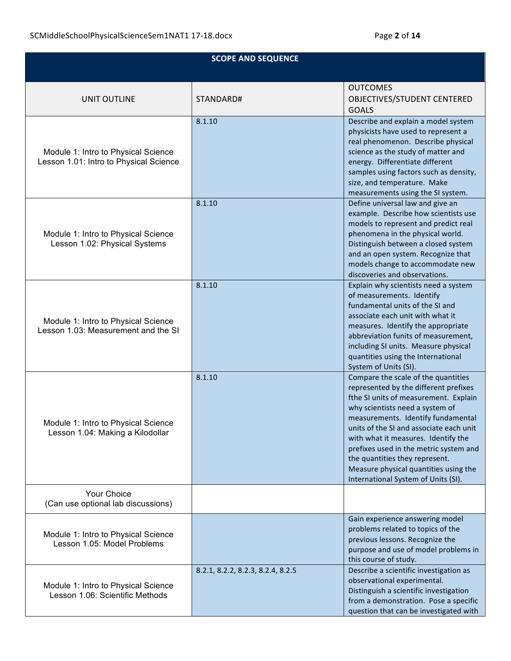| <b>SCOPE AND SEQUENCE</b>                                                     |                                   |                                                                                                                                                                                                                                                                                                                                                                                                                                              |
|-------------------------------------------------------------------------------|-----------------------------------|----------------------------------------------------------------------------------------------------------------------------------------------------------------------------------------------------------------------------------------------------------------------------------------------------------------------------------------------------------------------------------------------------------------------------------------------|
|                                                                               |                                   |                                                                                                                                                                                                                                                                                                                                                                                                                                              |
| <b>UNIT OUTLINE</b>                                                           | STANDARD#                         | <b>OUTCOMES</b><br>OBJECTIVES/STUDENT CENTERED<br><b>GOALS</b>                                                                                                                                                                                                                                                                                                                                                                               |
| Module 1: Intro to Physical Science<br>Lesson 1.01: Intro to Physical Science | 8.1.10                            | Describe and explain a model system<br>physicists have used to represent a<br>real phenomenon. Describe physical<br>science as the study of matter and<br>energy. Differentiate different<br>samples using factors such as density,<br>size, and temperature. Make<br>measurements using the SI system.                                                                                                                                      |
| Module 1: Intro to Physical Science<br>Lesson 1.02: Physical Systems          | 8.1.10                            | Define universal law and give an<br>example. Describe how scientists use<br>models to represent and predict real<br>phenomena in the physical world.<br>Distinguish between a closed system<br>and an open system. Recognize that<br>models change to accommodate new<br>discoveries and observations.                                                                                                                                       |
| Module 1: Intro to Physical Science<br>Lesson 1.03: Measurement and the SI    | 8.1.10                            | Explain why scientists need a system<br>of measurements. Identify<br>fundamental units of the SI and<br>associate each unit with what it<br>measures. Identify the appropriate<br>abbreviation funits of measurement,<br>including SI units. Measure physical<br>quantities using the International<br>System of Units (SI).                                                                                                                 |
| Module 1: Intro to Physical Science<br>Lesson 1.04: Making a Kilodollar       | 8.1.10                            | Compare the scale of the quantities<br>represented by the different prefixes<br>fthe SI units of measurement. Explain<br>why scientists need a system of<br>measurements. Identify fundamental<br>units of the SI and associate each unit<br>with what it measures. Identify the<br>prefixes used in the metric system and<br>the quantities they represent.<br>Measure physical quantities using the<br>International System of Units (SI). |
| Your Choice<br>(Can use optional lab discussions)                             |                                   |                                                                                                                                                                                                                                                                                                                                                                                                                                              |
| Module 1: Intro to Physical Science<br>Lesson 1.05: Model Problems            |                                   | Gain experience answering model<br>problems related to topics of the<br>previous lessons. Recognize the<br>purpose and use of model problems in<br>this course of study.                                                                                                                                                                                                                                                                     |
| Module 1: Intro to Physical Science<br>Lesson 1.06: Scientific Methods        | 8.2.1, 8.2.2, 8.2.3, 8.2.4, 8.2.5 | Describe a scientific investigation as<br>observational experimental.<br>Distinguish a scientific investigation<br>from a demonstration. Pose a specific<br>question that can be investigated with                                                                                                                                                                                                                                           |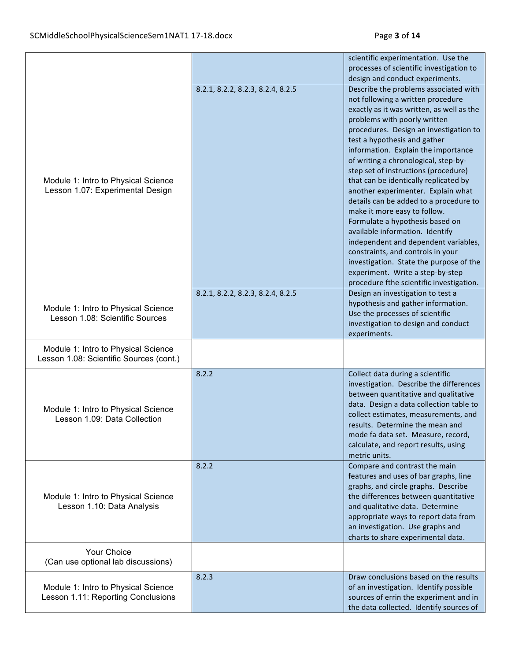|                                                                                |                                   | scientific experimentation. Use the<br>processes of scientific investigation to<br>design and conduct experiments.                                                                                                                                                                                                                                                                                                                                                                                                                                                                                                                                                                                                                                                                              |
|--------------------------------------------------------------------------------|-----------------------------------|-------------------------------------------------------------------------------------------------------------------------------------------------------------------------------------------------------------------------------------------------------------------------------------------------------------------------------------------------------------------------------------------------------------------------------------------------------------------------------------------------------------------------------------------------------------------------------------------------------------------------------------------------------------------------------------------------------------------------------------------------------------------------------------------------|
| Module 1: Intro to Physical Science<br>Lesson 1.07: Experimental Design        | 8.2.1, 8.2.2, 8.2.3, 8.2.4, 8.2.5 | Describe the problems associated with<br>not following a written procedure<br>exactly as it was written, as well as the<br>problems with poorly written<br>procedures. Design an investigation to<br>test a hypothesis and gather<br>information. Explain the importance<br>of writing a chronological, step-by-<br>step set of instructions (procedure)<br>that can be identically replicated by<br>another experimenter. Explain what<br>details can be added to a procedure to<br>make it more easy to follow.<br>Formulate a hypothesis based on<br>available information. Identify<br>independent and dependent variables,<br>constraints, and controls in your<br>investigation. State the purpose of the<br>experiment. Write a step-by-step<br>procedure fthe scientific investigation. |
| Module 1: Intro to Physical Science<br>Lesson 1.08: Scientific Sources         | 8.2.1, 8.2.2, 8.2.3, 8.2.4, 8.2.5 | Design an investigation to test a<br>hypothesis and gather information.<br>Use the processes of scientific<br>investigation to design and conduct<br>experiments.                                                                                                                                                                                                                                                                                                                                                                                                                                                                                                                                                                                                                               |
| Module 1: Intro to Physical Science<br>Lesson 1.08: Scientific Sources (cont.) |                                   |                                                                                                                                                                                                                                                                                                                                                                                                                                                                                                                                                                                                                                                                                                                                                                                                 |
| Module 1: Intro to Physical Science<br>Lesson 1.09: Data Collection            | 8.2.2                             | Collect data during a scientific<br>investigation. Describe the differences<br>between quantitative and qualitative<br>data. Design a data collection table to<br>collect estimates, measurements, and<br>results. Determine the mean and<br>mode fa data set. Measure, record,<br>calculate, and report results, using<br>metric units.                                                                                                                                                                                                                                                                                                                                                                                                                                                        |
| Module 1: Intro to Physical Science<br>Lesson 1.10: Data Analysis              | 8.2.2                             | Compare and contrast the main<br>features and uses of bar graphs, line<br>graphs, and circle graphs. Describe<br>the differences between quantitative<br>and qualitative data. Determine<br>appropriate ways to report data from<br>an investigation. Use graphs and<br>charts to share experimental data.                                                                                                                                                                                                                                                                                                                                                                                                                                                                                      |
| Your Choice<br>(Can use optional lab discussions)                              |                                   |                                                                                                                                                                                                                                                                                                                                                                                                                                                                                                                                                                                                                                                                                                                                                                                                 |
| Module 1: Intro to Physical Science<br>Lesson 1.11: Reporting Conclusions      | 8.2.3                             | Draw conclusions based on the results<br>of an investigation. Identify possible<br>sources of errin the experiment and in<br>the data collected. Identify sources of                                                                                                                                                                                                                                                                                                                                                                                                                                                                                                                                                                                                                            |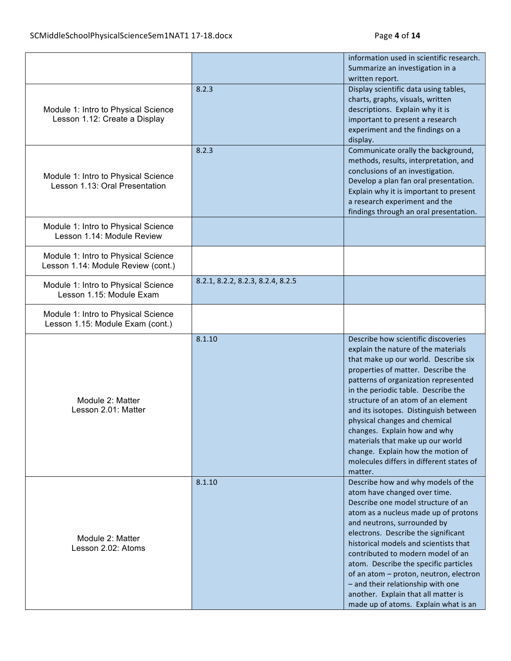|                                     |                                   | information used in scientific research.                                    |
|-------------------------------------|-----------------------------------|-----------------------------------------------------------------------------|
|                                     |                                   | Summarize an investigation in a                                             |
|                                     |                                   | written report.                                                             |
|                                     | 8.2.3                             | Display scientific data using tables,                                       |
|                                     |                                   | charts, graphs, visuals, written                                            |
| Module 1: Intro to Physical Science |                                   | descriptions. Explain why it is                                             |
| Lesson 1.12: Create a Display       |                                   | important to present a research                                             |
|                                     |                                   | experiment and the findings on a                                            |
|                                     |                                   | display.                                                                    |
|                                     | 8.2.3                             | Communicate orally the background,                                          |
|                                     |                                   | methods, results, interpretation, and                                       |
|                                     |                                   | conclusions of an investigation.                                            |
| Module 1: Intro to Physical Science |                                   | Develop a plan fan oral presentation.                                       |
| Lesson 1.13: Oral Presentation      |                                   | Explain why it is important to present                                      |
|                                     |                                   | a research experiment and the                                               |
|                                     |                                   | findings through an oral presentation.                                      |
|                                     |                                   |                                                                             |
| Module 1: Intro to Physical Science |                                   |                                                                             |
| Lesson 1.14: Module Review          |                                   |                                                                             |
| Module 1: Intro to Physical Science |                                   |                                                                             |
| Lesson 1.14: Module Review (cont.)  |                                   |                                                                             |
|                                     |                                   |                                                                             |
| Module 1: Intro to Physical Science | 8.2.1, 8.2.2, 8.2.3, 8.2.4, 8.2.5 |                                                                             |
| Lesson 1.15: Module Exam            |                                   |                                                                             |
|                                     |                                   |                                                                             |
| Module 1: Intro to Physical Science |                                   |                                                                             |
| Lesson 1.15: Module Exam (cont.)    |                                   |                                                                             |
|                                     | 8.1.10                            | Describe how scientific discoveries                                         |
|                                     |                                   | explain the nature of the materials                                         |
|                                     |                                   | that make up our world. Describe six                                        |
|                                     |                                   | properties of matter. Describe the                                          |
|                                     |                                   | patterns of organization represented                                        |
|                                     |                                   | in the periodic table. Describe the                                         |
| Module 2: Matter                    |                                   | structure of an atom of an element                                          |
| Lesson 2.01: Matter                 |                                   | and its isotopes. Distinguish between                                       |
|                                     |                                   |                                                                             |
|                                     |                                   | physical changes and chemical                                               |
|                                     |                                   | changes. Explain how and why                                                |
|                                     |                                   | materials that make up our world                                            |
|                                     |                                   | change. Explain how the motion of                                           |
|                                     |                                   | molecules differs in different states of                                    |
|                                     |                                   | matter.                                                                     |
|                                     | 8.1.10                            | Describe how and why models of the                                          |
|                                     |                                   | atom have changed over time.                                                |
|                                     |                                   | Describe one model structure of an                                          |
|                                     |                                   | atom as a nucleus made up of protons                                        |
|                                     |                                   | and neutrons, surrounded by                                                 |
| Module 2: Matter                    |                                   | electrons. Describe the significant                                         |
| Lesson 2.02: Atoms                  |                                   | historical models and scientists that                                       |
|                                     |                                   | contributed to modern model of an                                           |
|                                     |                                   | atom. Describe the specific particles                                       |
|                                     |                                   | of an atom - proton, neutron, electron                                      |
|                                     |                                   | - and their relationship with one                                           |
|                                     |                                   | another. Explain that all matter is<br>made up of atoms. Explain what is an |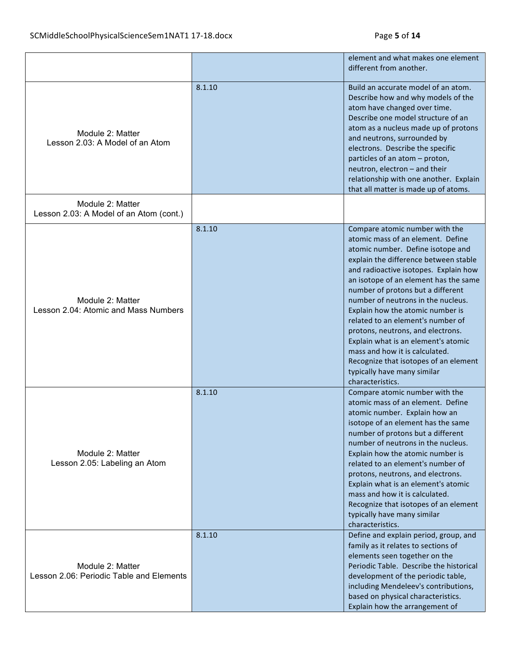|                                                              |        | element and what makes one element<br>different from another.                                                                                                                                                                                                                                                                                                                                                                                                                                                                                                                                     |
|--------------------------------------------------------------|--------|---------------------------------------------------------------------------------------------------------------------------------------------------------------------------------------------------------------------------------------------------------------------------------------------------------------------------------------------------------------------------------------------------------------------------------------------------------------------------------------------------------------------------------------------------------------------------------------------------|
| Module 2: Matter<br>Lesson 2.03: A Model of an Atom          | 8.1.10 | Build an accurate model of an atom.<br>Describe how and why models of the<br>atom have changed over time.<br>Describe one model structure of an<br>atom as a nucleus made up of protons<br>and neutrons, surrounded by<br>electrons. Describe the specific<br>particles of an atom - proton,<br>neutron, electron - and their<br>relationship with one another. Explain<br>that all matter is made up of atoms.                                                                                                                                                                                   |
| Module 2: Matter<br>Lesson 2.03: A Model of an Atom (cont.)  |        |                                                                                                                                                                                                                                                                                                                                                                                                                                                                                                                                                                                                   |
| Module 2: Matter<br>Lesson 2.04: Atomic and Mass Numbers     | 8.1.10 | Compare atomic number with the<br>atomic mass of an element. Define<br>atomic number. Define isotope and<br>explain the difference between stable<br>and radioactive isotopes. Explain how<br>an isotope of an element has the same<br>number of protons but a different<br>number of neutrons in the nucleus.<br>Explain how the atomic number is<br>related to an element's number of<br>protons, neutrons, and electrons.<br>Explain what is an element's atomic<br>mass and how it is calculated.<br>Recognize that isotopes of an element<br>typically have many similar<br>characteristics. |
| Module 2: Matter<br>Lesson 2.05: Labeling an Atom            | 8.1.10 | Compare atomic number with the<br>atomic mass of an element. Define<br>atomic number. Explain how an<br>isotope of an element has the same<br>number of protons but a different<br>number of neutrons in the nucleus.<br>Explain how the atomic number is<br>related to an element's number of<br>protons, neutrons, and electrons.<br>Explain what is an element's atomic<br>mass and how it is calculated.<br>Recognize that isotopes of an element<br>typically have many similar<br>characteristics.                                                                                          |
| Module 2: Matter<br>Lesson 2.06: Periodic Table and Elements | 8.1.10 | Define and explain period, group, and<br>family as it relates to sections of<br>elements seen together on the<br>Periodic Table. Describe the historical<br>development of the periodic table,<br>including Mendeleev's contributions,<br>based on physical characteristics.<br>Explain how the arrangement of                                                                                                                                                                                                                                                                                    |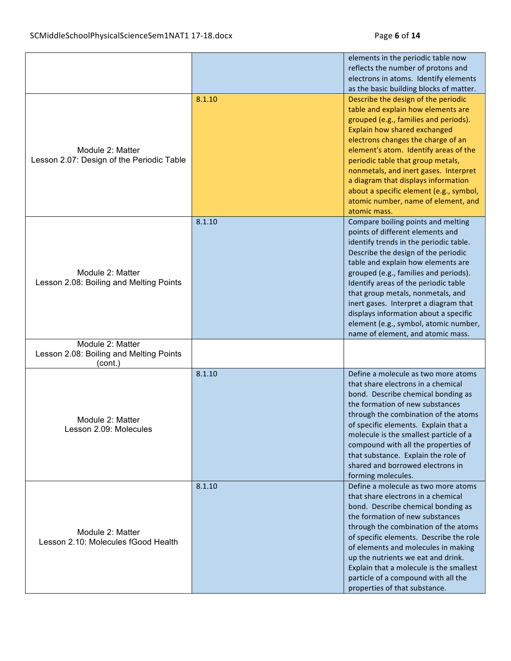|                                                                        |        | elements in the periodic table now<br>reflects the number of protons and<br>electrons in atoms. Identify elements<br>as the basic building blocks of matter.                                                                                                                                                                                                                                                                                                                        |
|------------------------------------------------------------------------|--------|-------------------------------------------------------------------------------------------------------------------------------------------------------------------------------------------------------------------------------------------------------------------------------------------------------------------------------------------------------------------------------------------------------------------------------------------------------------------------------------|
| Module 2: Matter<br>Lesson 2.07: Design of the Periodic Table          | 8.1.10 | Describe the design of the periodic<br>table and explain how elements are<br>grouped (e.g., families and periods).<br>Explain how shared exchanged<br>electrons changes the charge of an<br>element's atom. Identify areas of the<br>periodic table that group metals,<br>nonmetals, and inert gases. Interpret<br>a diagram that displays information<br>about a specific element (e.g., symbol,<br>atomic number, name of element, and<br>atomic mass.                            |
| Module 2: Matter<br>Lesson 2.08: Boiling and Melting Points            | 8.1.10 | Compare boiling points and melting<br>points of different elements and<br>identify trends in the periodic table.<br>Describe the design of the periodic<br>table and explain how elements are<br>grouped (e.g., families and periods).<br>Identify areas of the periodic table<br>that group metals, nonmetals, and<br>inert gases. Interpret a diagram that<br>displays information about a specific<br>element (e.g., symbol, atomic number,<br>name of element, and atomic mass. |
| Module 2: Matter<br>Lesson 2.08: Boiling and Melting Points<br>(cont.) |        |                                                                                                                                                                                                                                                                                                                                                                                                                                                                                     |
| Module 2: Matter<br>Lesson 2.09: Molecules                             | 8.1.10 | Define a molecule as two more atoms<br>that share electrons in a chemical<br>bond. Describe chemical bonding as<br>the formation of new substances<br>through the combination of the atoms<br>of specific elements. Explain that a<br>molecule is the smallest particle of a<br>compound with all the properties of<br>that substance. Explain the role of<br>shared and borrowed electrons in<br>forming molecules.                                                                |
| Module 2: Matter<br>Lesson 2.10: Molecules fGood Health                | 8.1.10 | Define a molecule as two more atoms<br>that share electrons in a chemical<br>bond. Describe chemical bonding as<br>the formation of new substances<br>through the combination of the atoms<br>of specific elements. Describe the role<br>of elements and molecules in making<br>up the nutrients we eat and drink.<br>Explain that a molecule is the smallest<br>particle of a compound with all the<br>properties of that substance.                                               |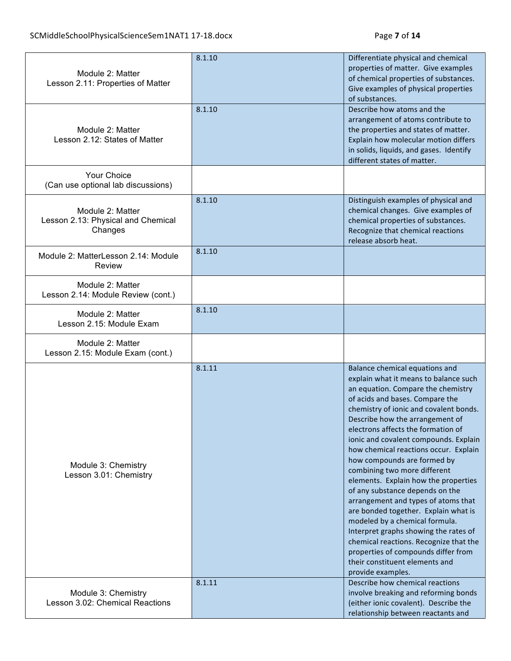| Module 2: Matter<br>Lesson 2.11: Properties of Matter             | 8.1.10 | Differentiate physical and chemical<br>properties of matter. Give examples<br>of chemical properties of substances.<br>Give examples of physical properties<br>of substances.                                                                                                                                                                                                                                                                                                                                                                                                                                                                                                                                                                                                                     |
|-------------------------------------------------------------------|--------|---------------------------------------------------------------------------------------------------------------------------------------------------------------------------------------------------------------------------------------------------------------------------------------------------------------------------------------------------------------------------------------------------------------------------------------------------------------------------------------------------------------------------------------------------------------------------------------------------------------------------------------------------------------------------------------------------------------------------------------------------------------------------------------------------|
| Module 2: Matter<br>Lesson 2.12: States of Matter                 | 8.1.10 | Describe how atoms and the<br>arrangement of atoms contribute to<br>the properties and states of matter.<br>Explain how molecular motion differs<br>in solids, liquids, and gases. Identify<br>different states of matter.                                                                                                                                                                                                                                                                                                                                                                                                                                                                                                                                                                        |
| <b>Your Choice</b><br>(Can use optional lab discussions)          |        |                                                                                                                                                                                                                                                                                                                                                                                                                                                                                                                                                                                                                                                                                                                                                                                                   |
| Module 2: Matter<br>Lesson 2.13: Physical and Chemical<br>Changes | 8.1.10 | Distinguish examples of physical and<br>chemical changes. Give examples of<br>chemical properties of substances.<br>Recognize that chemical reactions<br>release absorb heat.                                                                                                                                                                                                                                                                                                                                                                                                                                                                                                                                                                                                                     |
| Module 2: MatterLesson 2.14: Module<br>Review                     | 8.1.10 |                                                                                                                                                                                                                                                                                                                                                                                                                                                                                                                                                                                                                                                                                                                                                                                                   |
| Module 2: Matter<br>Lesson 2.14: Module Review (cont.)            |        |                                                                                                                                                                                                                                                                                                                                                                                                                                                                                                                                                                                                                                                                                                                                                                                                   |
| Module 2: Matter<br>Lesson 2.15: Module Exam                      | 8.1.10 |                                                                                                                                                                                                                                                                                                                                                                                                                                                                                                                                                                                                                                                                                                                                                                                                   |
| Module 2: Matter<br>Lesson 2.15: Module Exam (cont.)              |        |                                                                                                                                                                                                                                                                                                                                                                                                                                                                                                                                                                                                                                                                                                                                                                                                   |
| Module 3: Chemistry<br>Lesson 3.01: Chemistry                     | 8.1.11 | Balance chemical equations and<br>explain what it means to balance such<br>an equation. Compare the chemistry<br>of acids and bases. Compare the<br>chemistry of ionic and covalent bonds.<br>Describe how the arrangement of<br>electrons affects the formation of<br>ionic and covalent compounds. Explain<br>how chemical reactions occur. Explain<br>how compounds are formed by<br>combining two more different<br>elements. Explain how the properties<br>of any substance depends on the<br>arrangement and types of atoms that<br>are bonded together. Explain what is<br>modeled by a chemical formula.<br>Interpret graphs showing the rates of<br>chemical reactions. Recognize that the<br>properties of compounds differ from<br>their constituent elements and<br>provide examples. |
| Module 3: Chemistry<br>Lesson 3.02: Chemical Reactions            | 8.1.11 | Describe how chemical reactions<br>involve breaking and reforming bonds<br>(either ionic covalent). Describe the<br>relationship between reactants and                                                                                                                                                                                                                                                                                                                                                                                                                                                                                                                                                                                                                                            |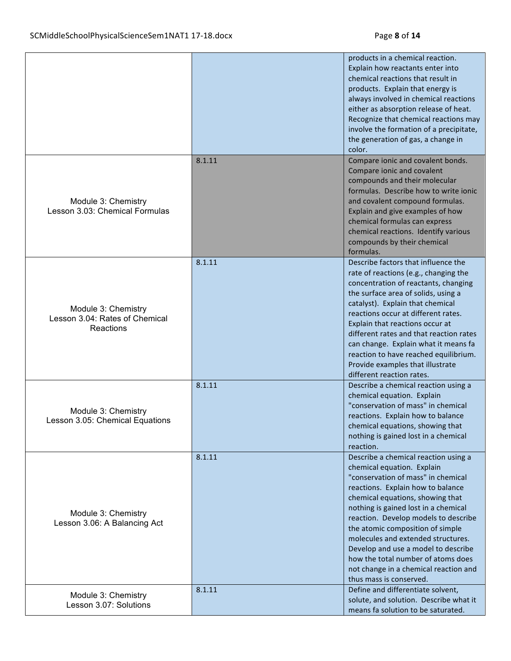|                                                                    |        | products in a chemical reaction.<br>Explain how reactants enter into<br>chemical reactions that result in<br>products. Explain that energy is<br>always involved in chemical reactions<br>either as absorption release of heat.<br>Recognize that chemical reactions may<br>involve the formation of a precipitate,<br>the generation of gas, a change in<br>color.                                                                                                                          |
|--------------------------------------------------------------------|--------|----------------------------------------------------------------------------------------------------------------------------------------------------------------------------------------------------------------------------------------------------------------------------------------------------------------------------------------------------------------------------------------------------------------------------------------------------------------------------------------------|
| Module 3: Chemistry<br>Lesson 3.03: Chemical Formulas              | 8.1.11 | Compare ionic and covalent bonds.<br>Compare ionic and covalent<br>compounds and their molecular<br>formulas. Describe how to write jonic<br>and covalent compound formulas.<br>Explain and give examples of how<br>chemical formulas can express<br>chemical reactions. Identify various<br>compounds by their chemical<br>formulas.                                                                                                                                                        |
| Module 3: Chemistry<br>Lesson 3.04: Rates of Chemical<br>Reactions | 8.1.11 | Describe factors that influence the<br>rate of reactions (e.g., changing the<br>concentration of reactants, changing<br>the surface area of solids, using a<br>catalyst). Explain that chemical<br>reactions occur at different rates.<br>Explain that reactions occur at<br>different rates and that reaction rates<br>can change. Explain what it means fa<br>reaction to have reached equilibrium.<br>Provide examples that illustrate<br>different reaction rates.                       |
| Module 3: Chemistry<br>Lesson 3.05: Chemical Equations             | 8.1.11 | Describe a chemical reaction using a<br>chemical equation. Explain<br>"conservation of mass" in chemical<br>reactions. Explain how to balance<br>chemical equations, showing that<br>nothing is gained lost in a chemical<br>reaction.                                                                                                                                                                                                                                                       |
| Module 3: Chemistry<br>Lesson 3.06: A Balancing Act                | 8.1.11 | Describe a chemical reaction using a<br>chemical equation. Explain<br>"conservation of mass" in chemical<br>reactions. Explain how to balance<br>chemical equations, showing that<br>nothing is gained lost in a chemical<br>reaction. Develop models to describe<br>the atomic composition of simple<br>molecules and extended structures.<br>Develop and use a model to describe<br>how the total number of atoms does<br>not change in a chemical reaction and<br>thus mass is conserved. |
| Module 3: Chemistry<br>Lesson 3.07: Solutions                      | 8.1.11 | Define and differentiate solvent,<br>solute, and solution. Describe what it<br>means fa solution to be saturated.                                                                                                                                                                                                                                                                                                                                                                            |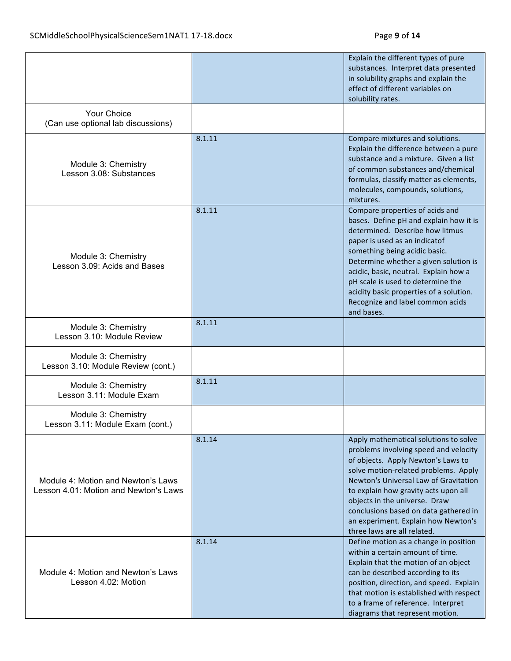|                                                                             |        | Explain the different types of pure<br>substances. Interpret data presented<br>in solubility graphs and explain the<br>effect of different variables on<br>solubility rates.                                                                                                                                                                                                                       |
|-----------------------------------------------------------------------------|--------|----------------------------------------------------------------------------------------------------------------------------------------------------------------------------------------------------------------------------------------------------------------------------------------------------------------------------------------------------------------------------------------------------|
| <b>Your Choice</b><br>(Can use optional lab discussions)                    |        |                                                                                                                                                                                                                                                                                                                                                                                                    |
| Module 3: Chemistry<br>Lesson 3.08: Substances                              | 8.1.11 | Compare mixtures and solutions.<br>Explain the difference between a pure<br>substance and a mixture. Given a list<br>of common substances and/chemical<br>formulas, classify matter as elements,<br>molecules, compounds, solutions,<br>mixtures.                                                                                                                                                  |
| Module 3: Chemistry<br>Lesson 3.09: Acids and Bases                         | 8.1.11 | Compare properties of acids and<br>bases. Define pH and explain how it is<br>determined. Describe how litmus<br>paper is used as an indicatof<br>something being acidic basic.<br>Determine whether a given solution is<br>acidic, basic, neutral. Explain how a<br>pH scale is used to determine the<br>acidity basic properties of a solution.<br>Recognize and label common acids<br>and bases. |
| Module 3: Chemistry<br>Lesson 3.10: Module Review                           | 8.1.11 |                                                                                                                                                                                                                                                                                                                                                                                                    |
| Module 3: Chemistry<br>Lesson 3.10: Module Review (cont.)                   |        |                                                                                                                                                                                                                                                                                                                                                                                                    |
| Module 3: Chemistry<br>Lesson 3.11: Module Exam                             | 8.1.11 |                                                                                                                                                                                                                                                                                                                                                                                                    |
| Module 3: Chemistry<br>Lesson 3.11: Module Exam (cont.)                     |        |                                                                                                                                                                                                                                                                                                                                                                                                    |
| Module 4: Motion and Newton's Laws<br>Lesson 4.01: Motion and Newton's Laws | 8.1.14 | Apply mathematical solutions to solve<br>problems involving speed and velocity<br>of objects. Apply Newton's Laws to<br>solve motion-related problems. Apply<br>Newton's Universal Law of Gravitation<br>to explain how gravity acts upon all<br>objects in the universe. Draw<br>conclusions based on data gathered in<br>an experiment. Explain how Newton's<br>three laws are all related.      |
| Module 4: Motion and Newton's Laws<br>Lesson 4.02: Motion                   | 8.1.14 | Define motion as a change in position<br>within a certain amount of time.<br>Explain that the motion of an object<br>can be described according to its<br>position, direction, and speed. Explain<br>that motion is established with respect<br>to a frame of reference. Interpret<br>diagrams that represent motion.                                                                              |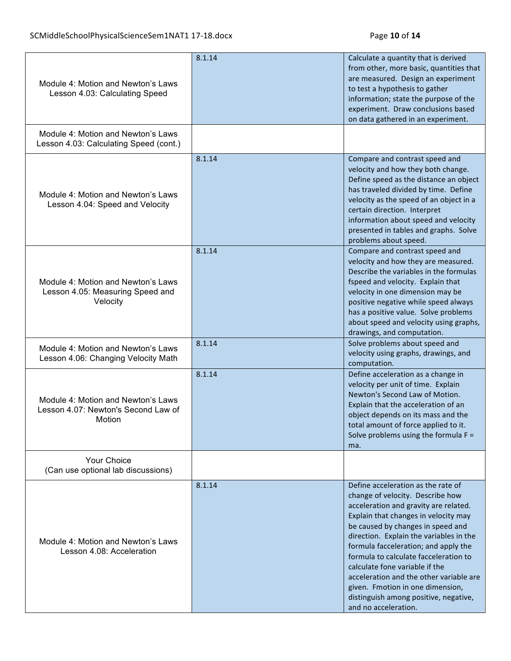| Module 4: Motion and Newton's Laws<br>Lesson 4.03: Calculating Speed                | 8.1.14 | Calculate a quantity that is derived<br>from other, more basic, quantities that<br>are measured. Design an experiment<br>to test a hypothesis to gather<br>information; state the purpose of the<br>experiment. Draw conclusions based<br>on data gathered in an experiment.                                                                                                                                                                                                                               |
|-------------------------------------------------------------------------------------|--------|------------------------------------------------------------------------------------------------------------------------------------------------------------------------------------------------------------------------------------------------------------------------------------------------------------------------------------------------------------------------------------------------------------------------------------------------------------------------------------------------------------|
| Module 4: Motion and Newton's Laws<br>Lesson 4.03: Calculating Speed (cont.)        |        |                                                                                                                                                                                                                                                                                                                                                                                                                                                                                                            |
| Module 4: Motion and Newton's Laws<br>Lesson 4.04: Speed and Velocity               | 8.1.14 | Compare and contrast speed and<br>velocity and how they both change.<br>Define speed as the distance an object<br>has traveled divided by time. Define<br>velocity as the speed of an object in a<br>certain direction. Interpret<br>information about speed and velocity<br>presented in tables and graphs. Solve<br>problems about speed.                                                                                                                                                                |
| Module 4: Motion and Newton's Laws<br>Lesson 4.05: Measuring Speed and<br>Velocity  | 8.1.14 | Compare and contrast speed and<br>velocity and how they are measured.<br>Describe the variables in the formulas<br>fspeed and velocity. Explain that<br>velocity in one dimension may be<br>positive negative while speed always<br>has a positive value. Solve problems<br>about speed and velocity using graphs,<br>drawings, and computation.                                                                                                                                                           |
| Module 4: Motion and Newton's Laws<br>Lesson 4.06: Changing Velocity Math           | 8.1.14 | Solve problems about speed and<br>velocity using graphs, drawings, and<br>computation.                                                                                                                                                                                                                                                                                                                                                                                                                     |
| Module 4: Motion and Newton's Laws<br>Lesson 4.07: Newton's Second Law of<br>Motion | 8.1.14 | Define acceleration as a change in<br>velocity per unit of time. Explain<br>Newton's Second Law of Motion.<br>Explain that the acceleration of an<br>object depends on its mass and the<br>total amount of force applied to it.<br>Solve problems using the formula $F =$<br>ma.                                                                                                                                                                                                                           |
| Your Choice<br>(Can use optional lab discussions)                                   |        |                                                                                                                                                                                                                                                                                                                                                                                                                                                                                                            |
| Module 4: Motion and Newton's Laws<br>Lesson 4.08: Acceleration                     | 8.1.14 | Define acceleration as the rate of<br>change of velocity. Describe how<br>acceleration and gravity are related.<br>Explain that changes in velocity may<br>be caused by changes in speed and<br>direction. Explain the variables in the<br>formula facceleration; and apply the<br>formula to calculate facceleration to<br>calculate fone variable if the<br>acceleration and the other variable are<br>given. Fmotion in one dimension,<br>distinguish among positive, negative,<br>and no acceleration. |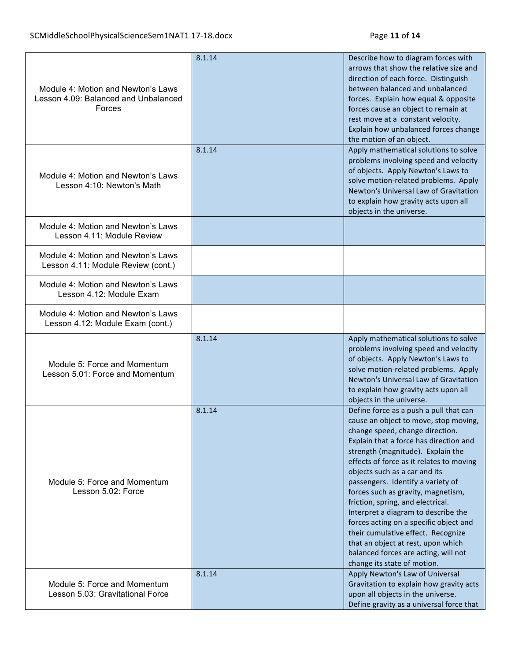| Module 4: Motion and Newton's Laws<br>Lesson 4.09: Balanced and Unbalanced<br>Forces | 8.1.14 | Describe how to diagram forces with<br>arrows that show the relative size and<br>direction of each force. Distinguish<br>between balanced and unbalanced<br>forces. Explain how equal & opposite<br>forces cause an object to remain at<br>rest move at a constant velocity.<br>Explain how unbalanced forces change<br>the motion of an object.                                                                                                                                                                                                                                                                                   |
|--------------------------------------------------------------------------------------|--------|------------------------------------------------------------------------------------------------------------------------------------------------------------------------------------------------------------------------------------------------------------------------------------------------------------------------------------------------------------------------------------------------------------------------------------------------------------------------------------------------------------------------------------------------------------------------------------------------------------------------------------|
| Module 4: Motion and Newton's Laws<br>Lesson 4:10: Newton's Math                     | 8.1.14 | Apply mathematical solutions to solve<br>problems involving speed and velocity<br>of objects. Apply Newton's Laws to<br>solve motion-related problems. Apply<br>Newton's Universal Law of Gravitation<br>to explain how gravity acts upon all<br>objects in the universe.                                                                                                                                                                                                                                                                                                                                                          |
| Module 4: Motion and Newton's Laws<br>Lesson 4.11: Module Review                     |        |                                                                                                                                                                                                                                                                                                                                                                                                                                                                                                                                                                                                                                    |
| Module 4: Motion and Newton's Laws<br>Lesson 4.11: Module Review (cont.)             |        |                                                                                                                                                                                                                                                                                                                                                                                                                                                                                                                                                                                                                                    |
| Module 4: Motion and Newton's Laws<br>Lesson 4.12: Module Exam                       |        |                                                                                                                                                                                                                                                                                                                                                                                                                                                                                                                                                                                                                                    |
| Module 4: Motion and Newton's Laws<br>Lesson 4.12: Module Exam (cont.)               |        |                                                                                                                                                                                                                                                                                                                                                                                                                                                                                                                                                                                                                                    |
| Module 5: Force and Momentum<br>Lesson 5.01: Force and Momentum                      | 8.1.14 | Apply mathematical solutions to solve<br>problems involving speed and velocity<br>of objects. Apply Newton's Laws to<br>solve motion-related problems. Apply<br>Newton's Universal Law of Gravitation<br>to explain how gravity acts upon all<br>objects in the universe.                                                                                                                                                                                                                                                                                                                                                          |
| Module 5: Force and Momentum<br>Lesson 5.02: Force                                   | 8.1.14 | Define force as a push a pull that can<br>cause an object to move, stop moving,<br>change speed, change direction.<br>Explain that a force has direction and<br>strength (magnitude). Explain the<br>effects of force as it relates to moving<br>objects such as a car and its<br>passengers. Identify a variety of<br>forces such as gravity, magnetism,<br>friction, spring, and electrical.<br>Interpret a diagram to describe the<br>forces acting on a specific object and<br>their cumulative effect. Recognize<br>that an object at rest, upon which<br>balanced forces are acting, will not<br>change its state of motion. |
| Module 5: Force and Momentum<br>Lesson 5.03: Gravitational Force                     | 8.1.14 | Apply Newton's Law of Universal<br>Gravitation to explain how gravity acts<br>upon all objects in the universe.                                                                                                                                                                                                                                                                                                                                                                                                                                                                                                                    |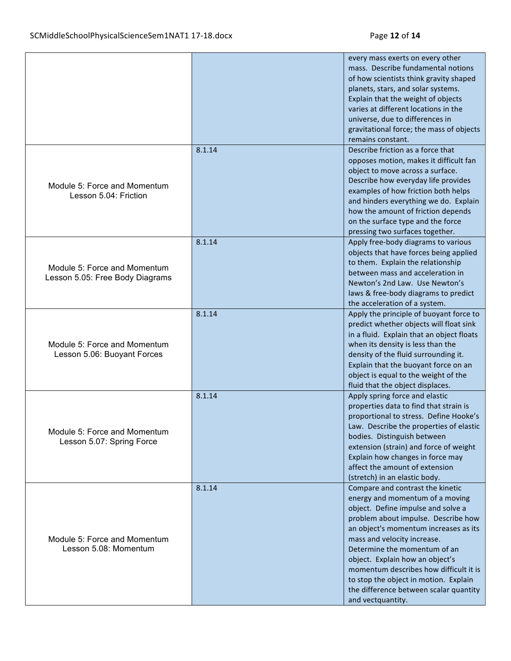|                                                                 |        | every mass exerts on every other<br>mass. Describe fundamental notions<br>of how scientists think gravity shaped<br>planets, stars, and solar systems.<br>Explain that the weight of objects<br>varies at different locations in the<br>universe, due to differences in<br>gravitational force; the mass of objects<br>remains constant.                                                                                                      |
|-----------------------------------------------------------------|--------|-----------------------------------------------------------------------------------------------------------------------------------------------------------------------------------------------------------------------------------------------------------------------------------------------------------------------------------------------------------------------------------------------------------------------------------------------|
| Module 5: Force and Momentum<br>Lesson 5.04: Friction           | 8.1.14 | Describe friction as a force that<br>opposes motion, makes it difficult fan<br>object to move across a surface.<br>Describe how everyday life provides<br>examples of how friction both helps<br>and hinders everything we do. Explain<br>how the amount of friction depends<br>on the surface type and the force<br>pressing two surfaces together.                                                                                          |
| Module 5: Force and Momentum<br>Lesson 5.05: Free Body Diagrams | 8.1.14 | Apply free-body diagrams to various<br>objects that have forces being applied<br>to them. Explain the relationship<br>between mass and acceleration in<br>Newton's 2nd Law. Use Newton's<br>laws & free-body diagrams to predict<br>the acceleration of a system.                                                                                                                                                                             |
| Module 5: Force and Momentum<br>Lesson 5.06: Buoyant Forces     | 8.1.14 | Apply the principle of buoyant force to<br>predict whether objects will float sink<br>in a fluid. Explain that an object floats<br>when its density is less than the<br>density of the fluid surrounding it.<br>Explain that the buoyant force on an<br>object is equal to the weight of the<br>fluid that the object displaces.                                                                                                              |
| Module 5: Force and Momentum<br>Lesson 5.07: Spring Force       | 8.1.14 | Apply spring force and elastic<br>properties data to find that strain is<br>proportional to stress. Define Hooke's<br>Law. Describe the properties of elastic<br>bodies. Distinguish between<br>extension (strain) and force of weight<br>Explain how changes in force may<br>affect the amount of extension<br>(stretch) in an elastic body.                                                                                                 |
| Module 5: Force and Momentum<br>Lesson 5.08: Momentum           | 8.1.14 | Compare and contrast the kinetic<br>energy and momentum of a moving<br>object. Define impulse and solve a<br>problem about impulse. Describe how<br>an object's momentum increases as its<br>mass and velocity increase.<br>Determine the momentum of an<br>object. Explain how an object's<br>momentum describes how difficult it is<br>to stop the object in motion. Explain<br>the difference between scalar quantity<br>and vectquantity. |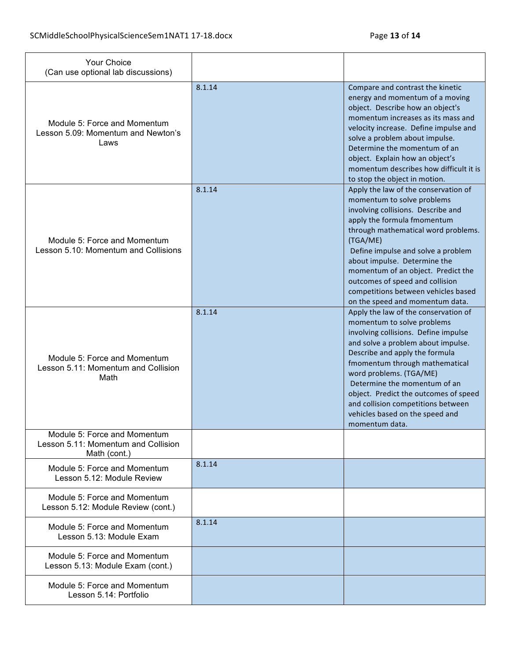| Your Choice<br>(Can use optional lab discussions)                                   |        |                                                                                                                                                                                                                                                                                                                                                                                                                     |
|-------------------------------------------------------------------------------------|--------|---------------------------------------------------------------------------------------------------------------------------------------------------------------------------------------------------------------------------------------------------------------------------------------------------------------------------------------------------------------------------------------------------------------------|
| Module 5: Force and Momentum<br>Lesson 5.09: Momentum and Newton's<br>Laws          | 8.1.14 | Compare and contrast the kinetic<br>energy and momentum of a moving<br>object. Describe how an object's<br>momentum increases as its mass and<br>velocity increase. Define impulse and<br>solve a problem about impulse.<br>Determine the momentum of an<br>object. Explain how an object's<br>momentum describes how difficult it is<br>to stop the object in motion.                                              |
| Module 5: Force and Momentum<br>Lesson 5.10: Momentum and Collisions                | 8.1.14 | Apply the law of the conservation of<br>momentum to solve problems<br>involving collisions. Describe and<br>apply the formula fmomentum<br>through mathematical word problems.<br>(TGA/ME)<br>Define impulse and solve a problem<br>about impulse. Determine the<br>momentum of an object. Predict the<br>outcomes of speed and collision<br>competitions between vehicles based<br>on the speed and momentum data. |
| Module 5: Force and Momentum<br>Lesson 5.11: Momentum and Collision<br>Math         | 8.1.14 | Apply the law of the conservation of<br>momentum to solve problems<br>involving collisions. Define impulse<br>and solve a problem about impulse.<br>Describe and apply the formula<br>fmomentum through mathematical<br>word problems. (TGA/ME)<br>Determine the momentum of an<br>object. Predict the outcomes of speed<br>and collision competitions between<br>vehicles based on the speed and<br>momentum data  |
| Module 5: Force and Momentum<br>Lesson 5.11: Momentum and Collision<br>Math (cont.) |        |                                                                                                                                                                                                                                                                                                                                                                                                                     |
| Module 5: Force and Momentum<br>Lesson 5.12: Module Review                          | 8.1.14 |                                                                                                                                                                                                                                                                                                                                                                                                                     |
| Module 5: Force and Momentum<br>Lesson 5.12: Module Review (cont.)                  |        |                                                                                                                                                                                                                                                                                                                                                                                                                     |
| Module 5: Force and Momentum<br>Lesson 5.13: Module Exam                            | 8.1.14 |                                                                                                                                                                                                                                                                                                                                                                                                                     |
| Module 5: Force and Momentum<br>Lesson 5.13: Module Exam (cont.)                    |        |                                                                                                                                                                                                                                                                                                                                                                                                                     |
| Module 5: Force and Momentum<br>Lesson 5.14: Portfolio                              |        |                                                                                                                                                                                                                                                                                                                                                                                                                     |